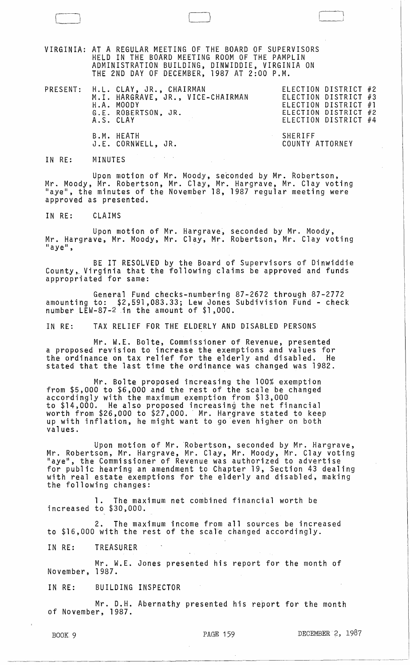VIRGINIA: AT A REGULAR MEETING OF THE BOARD OF SUPERVISORS HELD IN THE BOARD MEETING ROOM OF THE PAMPLIN ADMINISTRATION BUILDING, DINWIDDIE, VIRGINIA ON THE 2ND DAY OF DECEMBER, 1987 AT 2:00 P.M.

 $\Box$ 

|  | PRESENT: H.L. CLAY, JR., CHAIRMAN<br>H.A. MOODY<br>G.E. ROBERTSON, JR.<br>A.S. CLAY | M.I. HARGRAVE, JR., VICE-CHAIRMAN |                            | ELECTION DISTRICT #2<br>ELECTION DISTRICT #3<br>ELECTION DISTRICT #1<br>ELECTION DISTRICT #2<br>ELECTION DISTRICT #4 |  |
|--|-------------------------------------------------------------------------------------|-----------------------------------|----------------------------|----------------------------------------------------------------------------------------------------------------------|--|
|  | B.M. HEATH<br>J.E. CORNWELL, JR.                                                    |                                   | SHERIFF<br>COUNTY ATTORNEY |                                                                                                                      |  |

IN RE: MINUTES

Upon motion of Mr. Moody, seconded by Mr. Robertson, Mr. Moody, Mr. Robertson, Mr. Clay, Mr. Hargrave, Mr. Clay voting<br>"aye", the minutes of the November 18, 1987 regular meeting were approved as presented.

IN RE: CLAIMS

Upon motion of Mr. Hargrave, seconded by Mr. Moody,<br>Mr. Hargrave, Mr. Moody, Mr. Clay, Mr. Robertson, Mr. Clay voting "aye",

BE IT RESOLVED by the Board of Supervisors of Dinwiddie County, Virginia that the following claims be approved and funds appropriated for same:

General Fund checks-numbering 87-2672 through 87-2772 amounting to: \$2,591,083.33; Lew Jones Subdivision Fund - check number LEW-87- $2$  in the amount of  $$1,000$ .

IN RE: TAX RELIEF FOR THE ELDERLY AND DISABLED PERSONS

Mr. W.E. Bolte, Commissioner of Revenue, presented a proposed revision to increase the exemptions and values for the ordinance on tax relief for the elderly and disabled. He stated that the last time the ordinance was changed was 1982.

Mr. Bolte proposed increasing the 100% exemption<br>from \$5,000 to \$6,000 and the rest of the scale be changed<br>accordingly with the maximum exemption from \$13,000 to \$14,000. He also proposed increasing the net financial worth from \$26,000 to \$27,000. Mr. Hargrave stated to keep up with inflation, he might want to go even higher on both values.

Upon motion of Mr. Robertson, seconded by Mr. Hargrave,<br>Mr. Robertson, Mr. Hargrave, Mr. Clay, Mr. Moody, Mr. Clay voting "aye", the Commissioner of Revenue was authorized to advertise for public hearing an amendment to Chapter 19, Section 43 dealing with real estate exemptions for the elderly and disabled, making the following changes:

1. The maximum net combined financial worth be increased to \$30,000.

2. The maximum income from all sources be increased to \$16,000 with the rest of the scale changed accordingly.

IN RE: TREASURER

Mr. W.E. Jones presented his report for the month of November, 1987.

IN RE: BUILDING INSPECTOR

Mr. D.H. Abernathy presented his report for the month of November, 1987.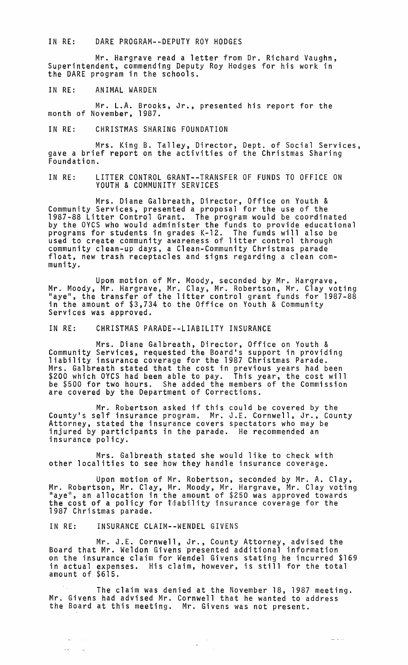IN RE: DARE PROGRAM--DEPUTY ROY HODGES

Mr. Hargrave read a letter from Dr. Richard Vaughn, Superintendent, commending Deputy Roy Hodges for his work in the DARE program in the schools.

IN RE: ANIMAL WARDEN

Mr. L.A. Brooks, Jr., presented his report for the month of November, 1987.

IN RE: CHRISTMAS SHARING FOUNDATION

Mrs. King B. Talley, Director, Dept. of Social Services, gave a brief report on the activities of the Christmas Sharing<br>Foundation.

IN RE: LITTER CONTROL GRANT--TRANSFER OF FUNDS TO OFFICE ON YOUTH & COMMUNITY SERVICES

Mrs. Diane Galbreath, Director, Office on Youth & Community Services, presented a proposal for the use of the 1987-88 Litter Control Grant. The program would be coordinated by the OYCS who would administer the funds to provide educational programs for students in grades K-12. The funds will also be programs for stadents in grades  $R-72$ . The funds will also be<br>used to create community awareness of litter control through<br>community clean-up days, a Clean-Community Christmas parade<br>float, new trash receptacles and signs munity.

Upon motion of Mr. Moody, seconded by Mr. Hargrave, Mr. Moody, Mr. Hargrave, Mr. Clay, Mr. Robertson, Mr. Clay voting "aye", the transfer of the litter control grant funds for 1987-88 in the amount of \$3,734 to the Office on Youth & Community<br>Services was approved.

IN RE: CHRISTMAS PARADE--LIABILITY INSURANCE

Mrs. Diane Galbreath, Director, Office on Youth & Community Services, requested the Board's support in providing liability insurance coverage for the 1987 Christmas Parade. Mrs. Galbreath stated that the cost in previous years had been \$200 which OYCS had been able to pay. This year, the cost will be \$500 for two hours. She added the members of the Commission are covered by the Department of Corrections.

Mr. Robertson asked if this could be covered by the County's self insurance program. Mr. J.E. Cornwell, Jr., County Attorney, stated the insurance covers spectators who may be injured by participants in the parade. He recommended an insurance policy.

Mrs. Galbreath stated she would like to check with other localities to see how they handle insurance coverage.

Upon motion of Mr. Robertson, seconded by Mr. A. Clay, Mr. Robertson, Mr. Clay, Mr. Moody, Mr. Hargrave, Mr. Clay voting<br>"aye", an allocation in the amount of \$250 was approved towards the cost of a policy for *Taability* insurance coverage for the 1987 Christmas parade.

IN RE: INSURANCE CLAIM--WENDEL GIVENS

 $\frac{1}{2}$  ,  $\frac{1}{2}$  ,  $\frac{1}{2}$  ,  $\frac{1}{2}$  ,  $\frac{1}{2}$ 

 $\mathcal{L}(\mathbf{x})$ 

Mr. J.E. Cornwell, Jr., County Attorney, advised the Board that Mr. Weldon Givens 'presented additional information on the insurance claim for Wendel Givens stating he incurred \$169 in actual expenses. His claim, however, is still for the total amount of \$615.

The claim was denied at the November 18, 1987 meeting. Mr. Givens had advised Mr. Cornwell that he wanted to address the Board at this meeting. Mr. Givens was not present.

 $\mathcal{A}^{\pm}$ 

 $\frac{1}{2}$  ,  $\frac{1}{2}$  ,  $\frac{1}{2}$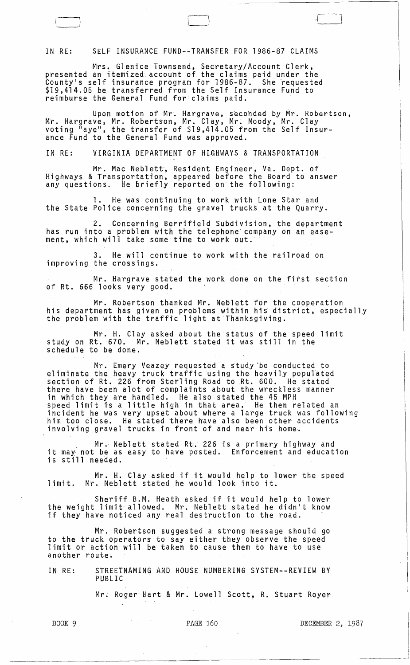IN RE: SELF INSURANCE FUND--TRANSFER FOR 1986-87 CLAIMS

 $\Box$ 

Mrs. Glenice Townsend, Secretary/Account Clerk, presented an itemized account of the claims paid under the County's self insurance program for 1986-87. She ~equested \$19,414.05 be transferred from the Self Insurance Fund to reimburse the General Fund for claims paid.

Upon motion of Mr. Hargrave, seconded by Mr. Robertson, Mr. Hargrave, Mr. Robertson, Mr. Clay, Mr~ Moody, Mr. Clay voting "aye", the transfer of \$19,414.05 from the Self Insurance Fund to the General Fund was approved.

 $\Box$ 

IN RE: VIRGINIA DEPARTMENT OF HIBHWAYS & TRANSPORTATION

Mr. Mac Neblett', Resident Engineer, Va. Dept. of Highways & Transportation, appeared before the Board to answer any questions. He briefly reported on the following:

1. He was continuing to work with Lone Star and the State Police concerning the gravel trucks at the Quarry.

2. Concerning Berrifield Subdivision, the department has run into a problem with the telephone' company on an easement, which will take some time to work out.

3. He will continue to work with the railroad on improving the crossings.

Mr. Hargrave stated the work done On the first section of Rt. 666 looks very good.

Mr. Robertson thanked Mr. Neblett for the cooperation his department has given on problems within hiS district, especially the problem with the traffic light at Thanksgiving.

Mr. H. Clay asked about the status of the speed limit study on Rt. 670. Mr. Neblett stated it was still in the schedule to be done.

Mr. Emery Veazey requested a study be conducted to eliminate the heavy truck traffic using the heavily populated section of Rt. 226 from Sterling Road to Rt. 600. He stated there have been alot of complaints about the wreckless manner in which they are handled. He also stated the 45 MPH<br>speed limit is a little high in that area. He then related an incident he was very upset about where a large truck was following him too close. He stated there have also been other accidents involving gravel trucks in front of and near his home.

Mr. Neblett stated Rti. 226 is a p'rimary highway and it may not be as easy to have posted. Enforcement and education is still needed.

Mr. H. Clay asked if it would help to lower the speed limit. Mr. Neblett stated he would look into it.

Sheriff B.M. Heath asked if it would help to lower the weight limit, allowed. 'Mr. Neblett stated he didn't know ene weight finite afformed. This webfect stated he afan

Mr. Robertson suggested a strong message should go to the truck operators to say either they observe the speed limit or action will be taken to cause them to have to use another route.

IN RE: STREETNAMING AND HOUSE NUMBERING SYSTEM--REVIEW BY PUBLIC

Mr. Roger Hart & Mr. Lowell Scott, R. Stuart Royer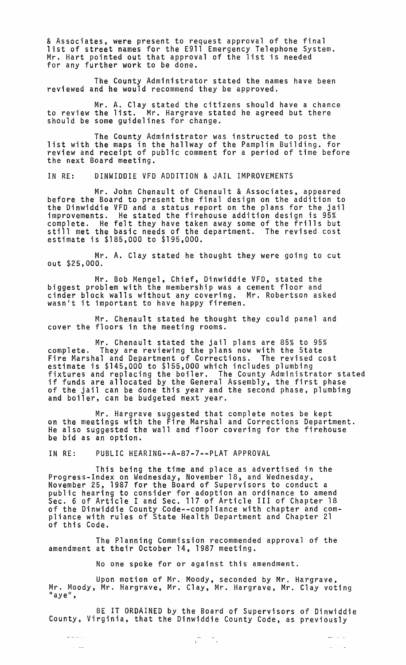& Associates, were present to request approval of the final list of street names for the E911 Emergency Telephone System. Mr. Hart pointed out that approval of the list is needed for any further work to De done.

The County Administrator stated the names have been reviewed and he would recommend they be approved.

Mr. A. Clay stated the citizens should have a chance to review the list. Mr. Hargrave stated he agreed but there should be some guidelines for change.

The County Administrator was instructed to post the list with the maps in the hallway of the Pamplin Building. for review and receipt of public comment for a period of time before the next Board meeting.

IN RE: DINWIDDIE VFD ADDITION & JAIL IMPROVEMENTS

Mr. John Chenault of Chenault & Associates, appeared before the Board to present the final design on the addition to the Dinwiddie VFD and a status report on the plans for the jail improvements. He stated the firehouse addition design is 95% complete. He felt they have taken away some of the frills but still met the basic needs of the department. The revised cost estimate is \$185,000 to \$195,000.

Mr. A. Clay stated he thought they were going to cut out \$25,000.

Mr. Bob Mengel, Chief, Dinwiddie VFD, stated the biggest problem with the membership was a cement floor and cinder block walls without any covering. Mr. Robertson asked wasn't it important to have happy firemen.

Mr. Chenault stated he thought they could panel and cover the floors in the meeting rooms.

Mr. Chenault stated the jail plans are 85% to 95% complete. They are reviewing the plans now with the State Fire Marshal and Department of Corrections. The revised cost estimate is \$145,000 to \$155,000 which includes plumbing fixtures and replacing the boiler. The County Administrator stated if funds are allocated by the General Assembly, the first phase of the jail can be done this year and the second phase, plumbing and boiler, can be budgeted next year.

Mr. Hargrave suggested that complete notes be kept on the meetings with the Fire Marshal and Corrections Department.<br>He also suggested the wall and floor covering for the firehouse He also suggested the wall and floor covering for the firehouse<br>be bid as an option.

IN RE: PUBLIC HEARING--A-87-7--PLAT APPROVAL

 $\hat{\mathcal{L}}_{\text{max}}$  , and

This being the time and place as advertised in the Progress-Index on Wednesday, November 18, and Wednesday,<br>November 25, 1987 for the Board of Supervisors to conduct a November 25, 1987 for the Board of Supervisors to conduct a<br>public hearing to consider for adoption an ordinance to amend Sec. 6 of Article I and Sec. 117 of Article III of Chapter 18 of the Dinwiddie County Code--comp1iance with chapter and compliance with rules of State Health Department and Chapter 21 of this Code.

The Planning Commission recommended approval of the amendment at their October 14, 1987 meeting.

No one spoke for or against this amendment.

Upon motion of Mr. Moody, seconded by Mr. Hargrave,<br>Mr. Moody, Mr. Hargrave, Mr. Clay, Mr. Hargrave, Mr. Clay voting "aye",

BE IT ORDAINED by the Board of Supervisors of Dinwiddie County, Virginia, that the Dinwiddie County Code, as previously

 $\sqrt{1}$   $\sqrt{1}$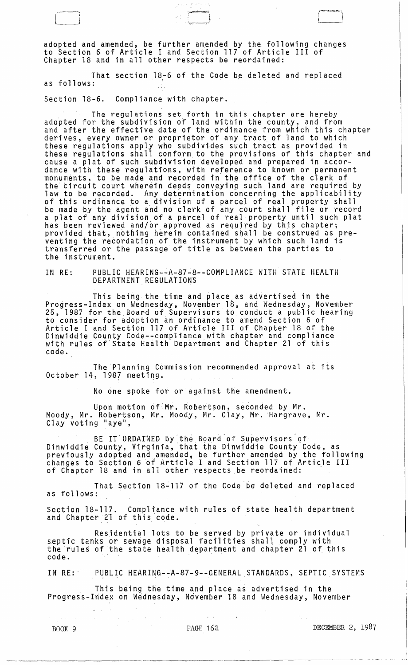adopted and amended, be further amended by the following changes to Section 6 of Article I and Section 117 of Article III of Chapter 18 and in all other respects be reordained:

 $-$  cunl , we can consider the cunl , we can consider the cunl , we can consider the cunl , we can consider the cunl ,  $\sim$ 

I I

That section 18-6 of the Code be deleted and replaced as follows:

Section 18-6. Compliance with chapter.

The regulations set forth in this chapter are hereby<br>adopted for the subdivision of land within the county, and from and after the effective date of the ordinance from which this chapter<br>derives, every owner or proprietor of any tract of land to which these regulations apply who subdivides such tract as provided in these regulations shall conform to the provisions of this chapter and cause a plat of such subdivision developed and prepared in accordance with these regulations, with reference to known or permanent monuments, to be made and recorded in the office of the clerk of the circuit court wherein deeds conveying such land are required by<br>law to be recorded. Any determination concerning the applicability of this ordinance to a division of a parcel of real property shall be made by the agent and no clerk of any court shall file or record a plat of any division of a parcel of real property until such plat<br>has been reviewed and/or approved as required by this chapter;<br>provided that, nothing herein contained shall be construed as pre-<br>venting the recordation venting the recordation of the instrument by which such land is<br>transferred or the passage of title as between the parties to the instrument.

IN RE: PUBLIC HEARING-~A-87-8--COMPLIANCE WITH STATE HEALTH DEPARTMENT REGULAtIONS

This being the time and place as advertised in the Progress-Index on Wednesday, November 18, and Wednesday, November 25, 1987 for the Board of Supervisors to conduct a public hearing to consider for adoption an ordinance to amend Section 6 of Article I and Section 117 of Article III of Chapter 18 of the Dinwiddie County Code--compliance with chapter and compliance<br>with rules of State Health Department and Chapter 21 of this code.

The Planning Commission recommended approval at its October 14, 1987 meeting.

No one spoke for or against the amendment.

Upon motion of Mr. Robertson, seconded by Mr. Moody, Mr. Robertson, Mr. Moody, Mr. Clay, Mr. Hargrave, Mr. Clay voting "aye",

BE IT ORDAINED by"the Board"of Supervisors'of Dinwiddie County, Virginia, that the Dinwiddie County Code, as previously adopted and amended, be further amended by the following changes to Section 60f Article I and Section 117 of Article III of Chapter 18 and in all other respects be reordained:

That Section l8~117 of the Code be deleted and replaced as follows:

Section 18-117. Compliance with rules of state health department and Chapter 21 of this code.

Residential lots to be served by private or individual septic tanks or sewage disposal facilities shall comply with the rules of the state health department and chapter 21 of this<br>code.

IN RE:' PUBLIC HEARING-~A-87-9--GENERALSTANDARDS, SEPTIC SYSTEMS

This being the time and place as advertised in the Progress-Index on Wednesday, November 18 and Wednesday, November

 $\Delta \sim 10^7$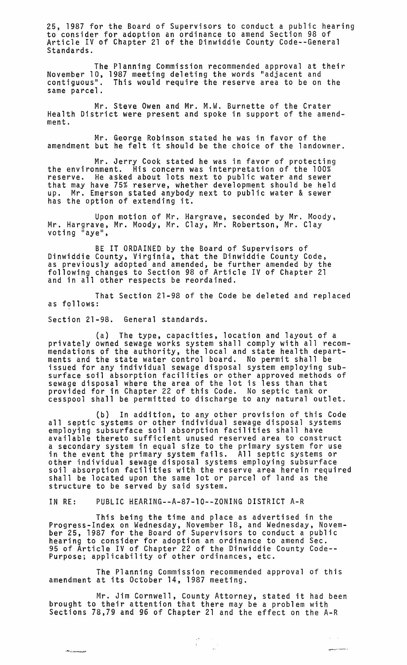25, 1987 for the Board of Supervisors to conduct a public hearing to consider for adoption an ordinance to amend Section 98 of Article IV of Chapter 21 of the Dinwiddie County Code--Genera1 Standards.

The Planning Commission recommended approval at their November 10, 1987 meeting deleting the words "adjacent and contiguous". This would require the reserve area to be on the same parcel.

Mr. Steve Owen and Mr. M.W. Burnette of the Crater Health District were present and spoke in support of the amendment.

Mr. George Robinson stated he was in favor of the amendment but he felt it should be the choice of the landowner.

Mr. Jerry Cook stated he was in favor of protecting the environment. His concern was interpretation of the 100% reserve. He asked about lots next to public water and sewer that may have 75% reserve, whether development should be held up. Mr. Emerson stated anybody next to public water & sewer has the option of extending it.

Upon motion of Mr. Hargrave, seconded by Mr. Moody, Mr. Hargrave, Mr. Moody, Mr. Clay, Mr. Robertson, Mr. Clay<br>voting "aye",

BE IT ORDAINED by the Board of Supervisors of Dinwiddie County, Virginia, that the Dinwiddie County Code, as previously adopted and amended, be further amended by the following changes to Section 98 of Article IV of Chapter 21 and in all other respects be reordained.

That Section 21-98 of the Code be deleted and replaced as follows:

Section 21-98. General standards.

''"'''-..:.~.o)<..~

(a) The type, capacities, location and layout of a privately owned sewage works system shall comply with all recommendations of the authority, the local and state health departments and the state water control board. No permit shall be issued for any individual sewage disposal system employing subsurface soil absorption facilities or other approved methods of sewage disposal where the area of the lot is less than that provided for in Chapter 22 of this Code. No septic tank or cesspool shall be permitted to discharge to any natural outlet.

(b) In addition, to any other provision of this Code all septic systems or other individual sewage disposal systems<br>employing subsurface soil absorption facilities shall have available thereto sufficient unused reserved area to construct a secondary system in equal size to the primary system for use in the event the primary system fails. All septic systems or other individual sewage disposal systems employing subsurface soil absorption facilities with the reserve area herein required shall be located upon the same lot or parcel of land as the structure to be served by said system.

IN RE: PUBLIC HEARING--A-87-10--Z0NING DISTRICT A-R

This being the time and place as advertised in the Progress-Index on Wednesday, November 18, and Wednesday, November 25, 1987 for the Board of Supervisors to conduct a public hearing to consider for adoption an ordinance to amend Sec. 95 of Article IV of Chapter 22 of the Dinwiddie County Code-- Purpose; applicability of other ordinances, etc.

The Planning Commission recommended approval of this amendment at its October 14, 1987 meeting.

Mr. Jim Cornwell, County Attorney, stated it had been brought to their attention that there may be a problem with Sections 78,79 and 96 of Chapter 21 and the effect on the A-R

 $\begin{pmatrix} \sigma & \sigma & \sigma \\ \sigma & \sigma & \sigma \\ \sigma & \sigma & \sigma \end{pmatrix}$ 

 $\tau_{\rm{eff}}=0$ أوالمحافظة والمستعفية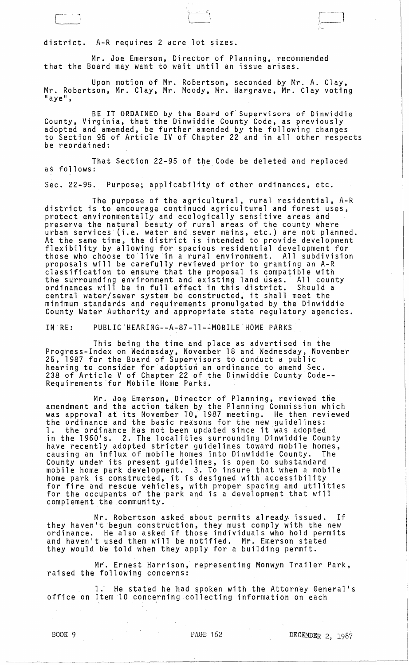BOOK 9 **PAGE 162** DECEMBER 2, 1987

 $\begin{array}{c} \hline \end{array}$ 

## district. A-R requires 2 acre lot sizes.

 $\Box$ 

Mr. Joe Emerson, Director of Planning, recommended that the Board may want to wait until an issue arises.

Upon motion of Mr. Robertson, seconded by Mr. A. Clay, Mr. Robertson, Mr. Clay, Mr. Moody, Mr. Hargrave, Mr. Clay voting<br>"aye",

 $\setminus$ 

BE IT ORDAINED by the Board of'Supervisors of Dinwiddie County, Virginia, that the Dinwiddie County Code, as previously adopted and amended, be further amended by the following changes to Section 95 of Article IV of Chapter 22 and in'all other respects be reordained:

That Section 22-95 of the Code be deleted and replaced as follows:

Sec. 22-95. Purpose; applicability of other ordinances, etc.

The purpose of the agricultural, rural residential, A-R district is to encourage continued agricultural and forest uses, protect environmentally and ecologically sensitive areas and preserve the natural beauty of rural areas of the county where urban services' (i.e. water and sewer mains, etc.) are not planned. At the same time, the district is intended to provide development flexibility by allowing for spacious residential development for those who choose to live in a rural environment. All subdivision proposals will be carefully reviewed· prior to granting an A-R classification to ensure that the proposal is compatible with the surrounding environment and existing land uses. All county ordinances will be in full effect in this district. Should a central water/sewer system be constructed, it shall meet the minimum standards and requirements promulgated by the Dinwiddie County Water Authority and appropriate state regulatory agencies.

IN' RE: PUBLIC'HEARING--A-87-ll-~MOBILE'HOME PARKS

This being the time and place as advertised in the Progress-Index on Wednesday, November 18 and Wednesday, November 25, 1987 for the Board of Supervisors to conduct a public hearing to consider for adoption an ordinance to amend Sec. 238 of Article V of Chapter 22 of the Dinwiddie County Code-- Requirements 'for Mobile Home Parks.

Mr. Joe Emerson, Director of Planning, reviewed the amendment and the action taken by the Planning Commission which amenument and the action caken by the flaming commission milen the ordinance and the basic reasons for the new guidelines: the ordinance and the basic reasons for the new guiderines.<br>1. the ordinance has not been updated since it was adopted<br>in the 1960's. 2. The localities surrounding Dinwiddie County<br>have recently adopted stricter guidelines have recently adopted stricter guidelines toward mobile homes,<br>causing an influx of mobile homes into Dinwiddie County. The County under its present guidelines, is open to substandard mobile home park development. 3. To insure that when a mobile home park is constructed, it is designed with accessibility for fire and rescue vehicles, with proper spacing and utilities for the occupants of the park and is a development that will complement the community.

Mr. Robertson asked about permits already issued. If they haven't begun construction, they must comply with the new ordinance. He also asked if those individuals who hold permits and haven't used them will be notified. Mr. Emerson stated they would be told when they apply for a building permit.

Mr. Ernest Harrison, representing Monwyn Trailer Park, raised the following concerns:

1. He stated he had spoken with the Attorney General's office on Item 10 concerning collecting information on each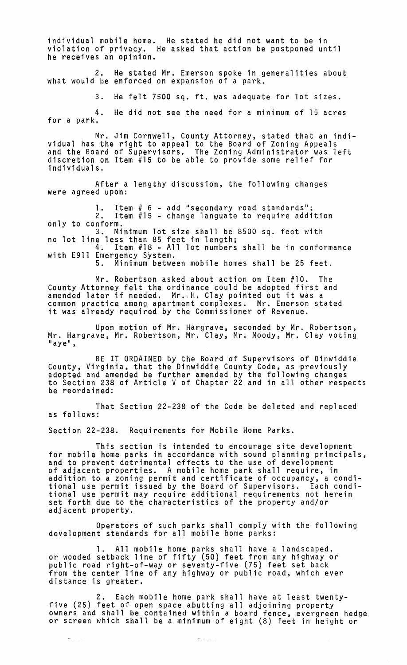individual mobile home. He stated he did not want to be in violation of privacy. He asked that action be postponed until he receives an opinion.

2. He stated Mr. Emerson spoke in generalities about what would be enforced on expansion of a park.

3. He felt 7500 sq. ft. was adequate for lot sizes.

4. He did not see the need for a minimum of 15 acres for a park.

Mr. Jim Cornwell, County Attorney, stated that an individual has the right to appeal to the Board of Zoning Appeals and the Board of Supervisors. The Zoning Administrator was left discretion on Item #15 to be able to provide some relief for individuals.

After a lengthy discussion, the following changes were agreed upon:

1. Item # 6 - add "secondary road standards";<br>2. Item #15 - change languate to require addi Item  $#15$  - change languate to require addition only to conform. 3. Minimum lot size shall be 8500 sq. feet with no lot line less than 85 feet in length;

4. Item #18 - All lot numbers shall be in conformance with E911 Emergency System.<br>5. Minimum between mobile homes shall be 25 feet.

Mr. Robertson asked about action on Item #10. The County Attorney felt the ordinance could be adopted first and county Attorney fert the ordinance courd be adopted first. common practice among apartment complexes. Mr. Emerson stated it was already required by the Commissioner of Revenue.

Upon motion of Mr. Hargrave, seconded by Mr. Robertson, Mr. Hargrave, Mr. Robertson, Mr. Clay, Mr. Moody, Mr. Clay voting<br>"aye",

BE IT ORDAINED by the Board of Supervisors of Dinwiddie County, Virginia, that the Dinwiddie County Code, as previously adopted and amended be further amended by the following changes to Section 238 of Article V of Chapter 22 and in all other respects be reordained:

That Section 22-238 of the Code be deleted and replaced as follows:

Section 22-238. Requirements for Mobile Home Parks.

This section is intended to encourage site development<br>for mobile home parks in accordance with sound planning principals,<br>and to prevent detrimental effects to the use of development<br>of adjacent properties. A mobile home addition to a zoning permit and certificate of occupancy, a conditional use permit issued by the Board of Supervisors. Each conditional use permit may require additional requirements not herein set forth due to the characteristics of the property and/or adjacent property.

Operators of such parks shall comply with the following development standards for all mooile home parks:

1. All mobile home parks shall have a landscaped, or wooded setback line of fifty (50) feet from any highway or public road right-of-way or seventy-five (75) feet set back from the center line of any highway or public road, which ever distance is greater.

2. Each mobile home park shall have at least twenty- five (25) feet of open space abutting all adjoining property owners and shall be contained within a board fence, evergreen hedge or screen which shall be a minimum of eight (8) feet in height or

 $\sim$   $\sim$   $\sim$   $\sim$   $\sim$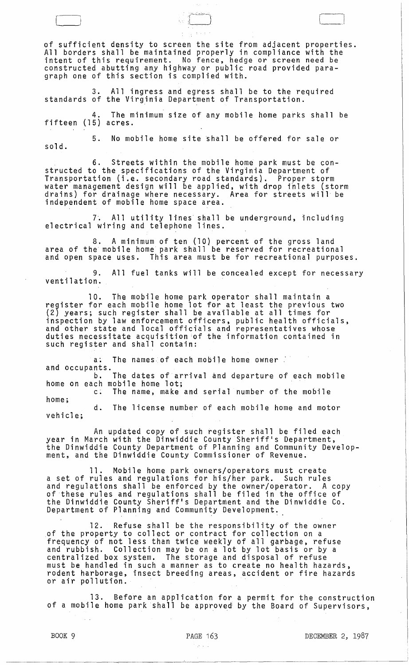of sufficient density to screen the site from adjacent properties.<br>All borders shall be maintained properly in compliance with the intent of this requirement. No fence, hedge or screen need be constructed abutting any highway or public road provided para-<br>graph one of this section is complied with.

l 1 *. r----}* ~]

3. All ingress and egress shall be to the required standards of the Virginia Department of Transportation.

4. The minimum size of any mobile home parks shall be fifteen (15) acres.

5. No mobile home site shall be offered for sale or sold.

6. Streets within the mobile home park must be constructed to the specifications of the Virginia Department of Transportation (i.e. secondary road standards). Proper storm water management design will be applied, with drop inlets (storm drains) for drainage where necessary. Area for streets will be independent of mobile home space area.

7. All utility lines shall be underground, including electrical wiring and telephone lines.

8. A minimum of ten (10} percent of the gross land area of the mobile home park shall be reserved for recreational and open space uses. This area must be for recreational purposes.

9. All fuel tanks will be concealed except for necessary ventilation.

10. The mobile home park operator shall maintain a register for each mobile home lot for at least the previous two (2) years; such register shall be available at all times for inspection by law enforcement officers, public health officials, and other state and local officials and representatives whose duties necessitate acquisition iof the information contained in such register and shall contain:

a: The names of each mobile home owner and occupants. b. The dates of arrival and departure of each mobile home on each mobile home lot;

c. The name, make and serial number of the mobile home;

d. The license number of each mobile home and motor vehicle;

An updated copy of such register shall be filed each<br>year in March with the Dinwiddie County Sheriff's Department, year in March with the Dinwiddie County Sheriff's Department,<br>the Dinwiddie County Department of Planning and Community Development, and the Dinwiddie County Commissioner of Revenue.

11. Mobile home park owners/operators must create a set of rules and regulations for his/her park. Such rules and regulations shall be enforced by the owner/operator. A copy of these rules and regulations shall be filed in the office of the Dinwiddie County Sheriff's Department and the Dinwiddie Co. Department of Planning and Community Development.  $\,$ 

12. Refuse shall be the responsibility of the owner ,of the property to collect or contract for collection on a frequency of not less than twice weekly of all garbage, refuse and rubbish. Collection may be on a lot by lot basis or by a centralized box system. The storage and disposal of refuse must be handled in such a manner as to create no health hazards, rodent harborage, insect breeding areas, accident or fire hazards or air pollution.

13. Before an application for a permit for the construction of a mobile home park shall be approved by the Board of Supervisors,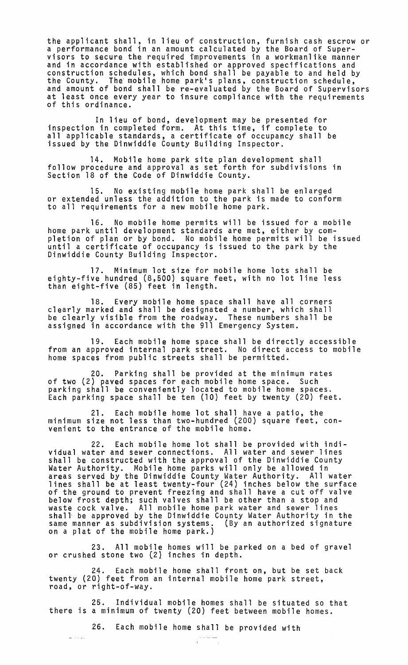the applicant shall, in lieu of construction, furnish cash escrow or a performance bond in an amount calculated by the Board of Super- visors to secure the required improvements in a workmanlike manner and in accordance with established or approved specifications and construction schedules, which bond shall be payable to and held by<br>the County. The mobile home park's plans, construction schedule, and amount of bond shall be re-evaluated by the Board of Supervisors at least once every year to insure compliance with the requirements of this ordinance.

In lieu of bond, development may be presented for inspection in completed form. At this time, if complete to all applicable standards, a certificate of occupancy shall be issued by the Dinwiddie County Building Inspector.

14. Mobile home park site plan development shall follow procedure and approval as set forth for subdivisions in Section 18 of the Code of Dinwiddie County.

15. No existing mobile home park shall be enlarged or extended unless the addition to the park is made to conform to all requirements for a new mobile home park.

16. No mobile home permits will be issued for a mobile home park until development standards are met, either by completion of plan or by bond. No mobile home permits will be issued until a certificate of occupancy is issued to the park by the Dinwiddie County Building Inspector.

17. Minimum lot size for mobile home lots shall be eighty-five hundred (8,500) square feet, with no lot line less than eight-five (85) feet in length.

18. Every mobile home space shall have all corners clearly marked and shall be designated a number, which shall be clearly visible from the roadway. These numbers shall be assigned in accordance with the 911 Emergency System.

19. Each mobile home space shall be directly accessible from an approved internal park street. No direct access to mobile home spaces from public streets shall be permitted.

20. Parking shall be provided at the minimum rates of two (2) paved spaces for each mobile home space. Such parking shall be conveniently located to mobile home spaces.<br>Each parking space shall be ten (10) feet by twenty (20) feet.

21. Each mobile home lot shall have a patio, the minimum size not less than two-hundred (200) square feet, convenient to the entrance of the mobile home.

22. Each mobile home lot shall be provided with individual water and sewer connections. All water and sewer lines shall be constructed with the approval of the Dinwiddie County Water Authority. Mobile home parks will only be allowed in areas served by the Dinwiddie County Water Authority. All water lines shall be at least twenty-four (24) inches below the surface of the ground to prevent freezing and shall have a cut off valve below frost depth; such valves shall be other than a stop and waste cock valve. All mobile home park water and sewer lines shall" be approved by the Dinwiddie County Water Authority in the same manner as subdivision systems. (By an authorized signature on a plat of the mobile home park.)

23. All mobile homes will be parked on a bed of gravel or crushed stone two (2} inches in depth.

24. Each mobile home shall front on, but be set back twenty (20) feet from an internal mobile home park street, road, or right-of-way.

25. Individual mobile homes shall be situated so that there is a minimum of twenty (20) feet between mobile homes.

26. Each mobile home shall be provided with<br>  $\frac{1}{2}$ 

- 30.00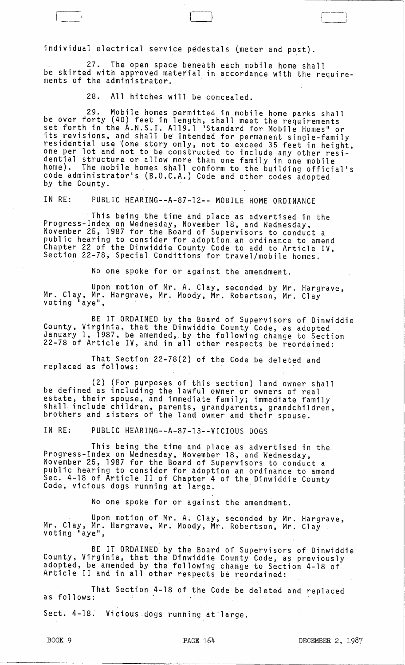individual electrical service pedestals (meter and post).

27. The open space beneath each mobile home shall be skirted with approved material in accordance with the requirements of the administrator.

[-I [--] C-1

28. All hitches will be concealed.

29. Mobile homes permitted in mobile home parks shall be ovar forty (40) feet in length, shall meet the requirements set forth in the A.N.S.I. A1l9.l "Standard for Mobile Homes" or its revisions, and shall be intended for permanent single-family residential use (one story only, not to exceed 35 feet in height, one per lot and not to be constructed to include any other residential structure or allow more than one family in one mobile home}. The mobile homes shall conform to the building official's code administrator's (B.O.C.A.) Code and other codes adopted<br>by the County.

IN RE: PUBLIC HEARING--A-87-12-- MOBILE HOME ORDINANCE

This being the time and place as advertised in the Progress-Index on Wednesday, November 18, and Wednesday, November 25, 1987 for the Board of Supervisors to conduct a public hearing to consider for adoption an ordinance to amend Chapter 22 of the Dinwiddie County Code to add to Article IV, Section 22-78, Special Conditions for travel/mobile homes.

No one spoke for or against the amendment.

Upon motion of Mr. A. Clay, seconded by Mr. Hargrave, Mr. Clay, Mr. Clay, Mr. Clay, Mr. Clay<br>voting "aye", Mr. Moody, Mr. Robertson, Mr. Clay

BE IT ORDAINED by the Board of Supervisors of Dinwiddie County, Virginia, that the Dinwiddie County Code, as adopted January 1, 1987, be amended,. by the following change to Section 22-78 of Article IV, and in all other respects be reordained:

That Section 22-78(2} of the Code be deleted and replaced as follows:

(2) (For purposes of this section) land owner shall be defined as including the lawful owner or owners of real estate, their spouse, and immediate family; immediate family shall. include children, parents, grandparents, grandchildren, brothers and sisters of the land owner and their spouse.

IN RE: PUBLIC HEARING--A-87-l3--VICIOUS DOGS

This being the time and place as advertised in the Progress-Index on Wednesday, November 18, and Wednesday, November 25, 1987 for the Board of Supervisors to conduct a public hearing to consider for adoption an ordinance to amend Sec. 4-18 of Article II of Chapter 4 of the Dinwiddie County<br>Code, vicious dogs running at large.

No one spoke for or against the amendment.

Upon motion of Mr. A. Clay, seconded by Mr. Hargrave, Mr. Clay, Mr. Hargrave, Mr. Clay, Mr. Clay .<br>voting "aye",

BE IT ORDAINED by the Board of Supervisors of Dinwiddie County, Virginia, that the Dinwiddie County Code, as previously adopted, be amended by the following change to Section 4-18 of Article II and in all other respects be reordained:

That Section 4-18 of the Code be deleted and replaced as follows:

Sect. 4-18. Vicious dogs running at large.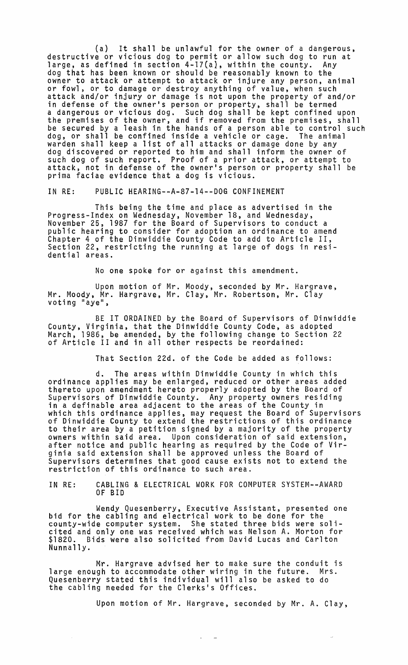(a) It shall be unlawful for the owner of a dangerous, destructive or vicious dog to permit or allow such dog to run at large, as defined in section 4-17(a), within the county. Any<br>dog that has been known or should be reasonably known to the owner to attack or attempt to attack or injure any person, animal or fowl, or to damage or destroy anything of value, when such attack and/or injury or damage is not upon the property of and/or in defense of the owner's person or property, shall be termed a dangerous or vicious dog. Such dog shall be kept confined upon<br>the premises of the owner, and if removed from the premises, shall be secured by a leash in the hands of a person able to control such dog, or shall be confined inside a vehicle or cage. The animal warden shall keep a list of all attacks or damage done by any dog discovered or reported to him and shall inform the owner of such dog of such report. Proof of a prior attack, or attempt to attack, not in defense of the owner's person or property shall be prima faciae evidence that a dog is vicious.

IN RE: PUBLIC HEARING--A-87-14--DOG CONFINEMENT

This being the time and place as advertised in the Progress-Index on Wednesday, November 18, and Wednesday,<br>November 25, 1987 for the Board of Supervisors to conduct a public hearing to consider for adoption an ordinance to amend Chapter 4 of the Dinwiddie County Code to add to Article II, Section 22, restricting the running at large of dogs in residential areas.

No one spoke for or against this amendment.

Upon motion of Mr. Moody, seconded by Mr. Hargrave,<br>Mr. Moody, Mr. Hargrave, Mr. Clay, Mr. Robertson, Mr. Clay<br>voting "aye",

BE IT ORDAINED by the Board of Supervisors of Dinwiddie County, Virginia, that the Dinwiddie County Code, as adopted March, 1986, be amended, by the following change to Section 22 of Article II and in all other respects be reordained:

That Section 22d. of the Code be added as follows:

d. The areas within Dinwiddie County in which this ordinance applies may be enlarged, reduced or other areas added thereto upon amendment hereto properly adopted by the Board of Supervisors of Dinwiddie County. Any property owners residing in a definable area adjacent to the areas of the County in which this ordinance applies, may request the Board of Supervisors of Dinwiddie County to extend the restrictions of this ordinance to their area by a petition signed by a majority of the property owners within said area. Upon consideration of said extension, after notice and public hearing as required by the Code of Virginia said extension shall be approved unless the Board of Supervisors determines that good cause exists not to extend the restriction of this ordinance to such area.

IN RE: CABLING & ELECTRICAL WORK FOR COMPUTER SYSTEM--AWARD OF BID

Wendy Quesenberry, Executive Assistant, presented one bid for the cabling and electrical work to be done for the county-wide computer system. She stated three bids were solicited and only one was received which was Nelson A. Morton for \$1820. Bids were also solicited from David Lucas and Carlton Nunnally.

Mr. Hargrave advised her to make sure the conduit is large enough to accommodate other wiring in the future. Mrs. Quesenberry stated this individual will also be asked to do the cabling needed for the Clerks's Offices.

Upon motion of Mr. Hargrave, seconded by Mr. A. Clay,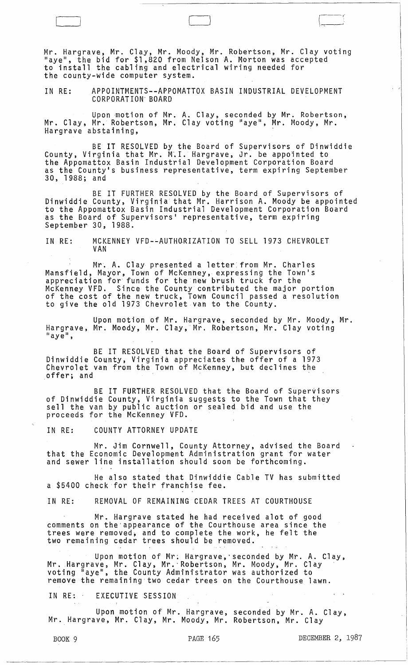Mr. Hargrave, Mr. Clay, Mr. Moody, Mr. Robertson, Mr. Clay voting "aye", the bid for \$1,820 from NelsonA. Morton was accepted to install the cabling and electrical wiring needed for the county-wide computer system.

 $\sqrt{2\pi}$ 

IN RE: APPOINTMENTS--APPOMATTOX BASIN INDUSTRIAL DEVELOPMENT CORPORAT ION' BOARD

Upon motion of Mr. A. Clay, seconded by Mr. Robertson, Mr. Clay, Mr. Robertson, Mr. Clay voting Haye", Mr. Moody, Mr. Hargrave abstaining,

BE IT RESOLVED by the Board of Supervisors of Dinwiddie County, Virginia that Mr. M~I. Hargrave, Jr. be appointed to the Appomattox Basin Industrial Development Corporation Board as the County's business representative, term expiring September 30, 1988; and

BE IT FURTHER RESOLVED by the Board of Supervisors of Dinwiddie County, Virginia that Mr. Harrison A. Moody be appointed to the Appomattox Basin Industrial Development Corporation Board as the Board of Supervisors' representative, term expiring<br>September 30, 1988.

IN RE: MCKENNEY VFD--AUTHORIZATION TO SELL 1973 CHEVROLET VAN

Mr. A. Clay presented a letter from Mr. Charles Mansfield, Mayor, Town of McKenney, expressing the Town's appreciation for' funds for the new brush truck for the McKenney VFD. Since the County contributed the major portion<br>of the cost of the new truck, Town Council passed a resolution to give the old 1973 Chevrolet vah to the County.

Upon motion of Mr. Hargrave, seconded by Mr. Moody, Mr. Hargrave, Mr. Moody, Mr. Clay, Mr. Robertson, Mr. Clay voting<br>"aye",

BE IT RESOLVED that the Board of Supervisors of Dinwiddie County, Virginia appreciates the offer of a 1973 Chevrolet van from the Town of McKenney, but declines the offer; and .

BE IT FURTHER RESOLVED that the Board of Supervisors of Dinwiddie County, Virginia suggests to the Town that they sell the van by public auction or sealed bid and use the proceeds for the McKenney VFD.

IN RE: COUNTY ATTORNEY UPDATE

Mr. Jim Cornwell, County Attorney, advised the Board that the Economic Development Administration grant for water and sewer line installation should soon be forthcoming.

He also stated that Dinwiddie Cable TV has submitted a \$5400 check for their franchise fee.

IN RE: REMOVAL OF REMAINING CEDAR TREES AT COURTHOUSE

Mr. Hargrave stated he had received alot of good comments on the'appearance of the Courthouse area since the trees were removed, and to complete the work, he felt the two remaining cedar trees should be removed.

Upon motion of Mr. Hargrave,'seconded by Mr. A. Clay, Mr. Hargrave, Mr. Clay, Mr. Hargrave, Mr. Clay, Mr. Hargrave, Mr. Clay, Mr. Clay . voting "aye", the County Administrator was authorized to remove the remaining two cedar trees on the Courthouse lawn.

IN RE: EXECUTIVE SESSION

Upon motion of Mr. Hargrave, seconded by Mr. A. Clay, Mr. Hargrave, Mr. Clay, Mr. Moody, Mr. Robertson, Mr. Clay

 $\frac{1}{\sqrt{1 + \frac{1}{\sqrt{1 + \frac{1}{\sqrt{1 + \frac{1}{\sqrt{1 + \frac{1}{\sqrt{1 + \frac{1}{\sqrt{1 + \frac{1}{\sqrt{1 + \frac{1}{\sqrt{1 + \frac{1}{\sqrt{1 + \frac{1}{\sqrt{1 + \frac{1}{\sqrt{1 + \frac{1}{\sqrt{1 + \frac{1}{\sqrt{1 + \frac{1}{\sqrt{1 + \frac{1}{\sqrt{1 + \frac{1}{\sqrt{1 + \frac{1}{\sqrt{1 + \frac{1}{\sqrt{1 + \frac{1}{\sqrt{1 + \frac{1}{\sqrt{1 + \frac{1}{\sqrt{1 + \frac{1}{\sqrt{1 +$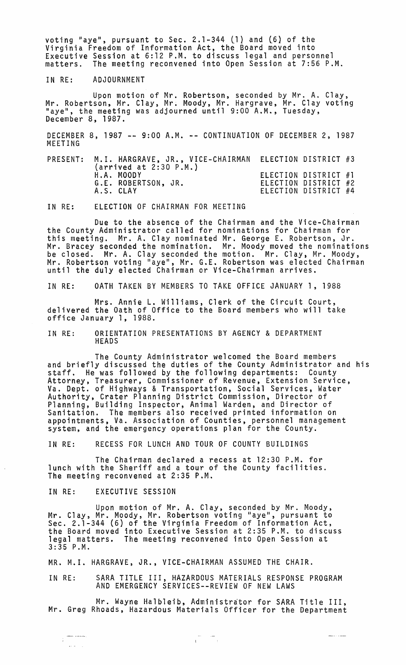voting "aye", pursuant to Sec. 2.1-344 (1) and (6) of the Virginia Freedom of Information Act, the Board moved into Executive Session at 6:12 P.M. to discuss legal and personnel The meeting reconvened into Open Session at 7:56 P.M.

IN RE: ADJOURNMENT

Upon motion of Mr. Robertson, seconded by Mr. A. Clay, Mr. Clay, Mr. Moody, Mr. Hargrave, Mr. Clay voting "aye", the meeting was adjourned until 9:00 A.M., Tuesday, December 8, 1987.

DECEMBER 8, 1987 -- 9:00 A.M. -- CONTINUATION OF DECEMBER 2, 1987 MEETING

| PRESENT: M.I. HARGRAVE, JR., VICE-CHAIRMAN ELECTION DISTRICT #3<br>$(\text{arrived at } 2:30 P.M.)$ |                                                                      |  |
|-----------------------------------------------------------------------------------------------------|----------------------------------------------------------------------|--|
| H.A. MOODY<br>G.E. ROBERTSON, JR.<br>A.S. CLAY                                                      | ELECTION DISTRICT #1<br>ELECTION DISTRICT #2<br>ELECTION DISTRICT #4 |  |

IN RE: ELECTION OF CHAIRMAN FOR MEETING

Due to the absence of the Chairman and the Vice-Chairman the County Administrator called for nominations for Chairman for this meeting. Mr. A. Clay nominated Mr. George E. Robertson, Jr. Mr. Bracey seconded the nomination. Mr. Moody moved the nominations be closed. Mr. A. Clay seconded the motion. Mr. Clay, Mr. Moody, Mr. Robertson voting "aye", Mr. G.E. Robertson was elected Chairman until the duly elected Chairman or Vice-Chairman arrives.

IN RE: 0ATH TAKEN BY MEMBERS TO TAKE OFFICE JANUARY 1, 1988

Mrs. Annie L. Williams, Clerk of the Circuit Court, delivered the Oath of Office to the Board members who will take office January 1, 1988.

IN RE: ORIENTATION PRESENTATIONS BY AGENCY & DEPARTMENT HEADS

The County Administrator welcomed the Board members and briefly discussed the duties of the County Administrator and his staff. He was followed by the following departments: County Attorney, Treasurer, Commissioner of Revenue, Extension Service, Va. Dept. of Highways & Transportation, Social Services, Water Authority, Crater Planning District Commission, Director of Planning, Building Inspector, Animal Warden, and Director of Sanitation. The members also received printed information on appointments, Va. Association of Counties, personnel management system, and the emergency operations plan for the County.

IN RE: RECESS FOR LUNCH AND TOUR OF COUNTY BUILDINGS

The Chairman declared a recess at 12:30 P.M. for lunch with the Sheriff and a tour of the County facilities. The meeting reconvened at 2:35 P.M.

IN RE: EXECUTIVE SESSION

Upon motion of Mr. A. Clay, seconded by Mr. Moody,<br>Mr. Clay, Mr. Moody, Mr. Robertson voting "aye", pursuant to Sec. 2.1-344 (6) of the Virginia Freedom of Information Act, the Board moved into Executive Session at 2:35 P.M. to discuss legal matters. The meeting reconvened into Open Session at 3:35 P.M.

MR. M.I. HARGRAVE, JR., VICE-CHAIRMAN ASSUMED THE CHAIR.

IN RE: SARA TITLE III, HAZARDOUS MATERIALS RESPONSE PROGRAM AND EMERGENCY SERVICES--REVIEW OF NEW LAWS

Mr. Wayne Halbleib, Administrator for SARA Title III, Mr. Greg Rhoads, Hazardous Materials Officer for the Department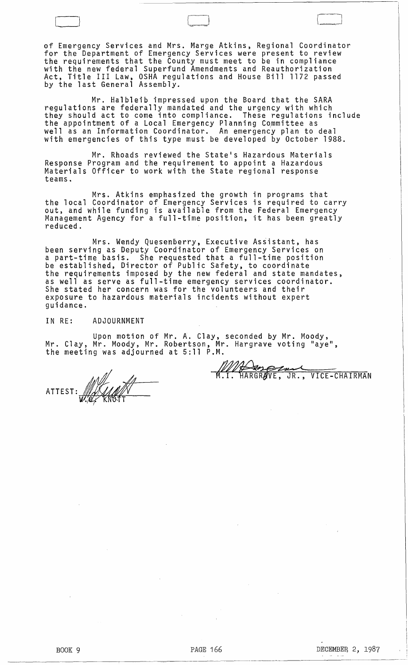of Emergency Services and Mrs. Marge Atkins, Regional Coordinator for the Department of Emergency Services were present to review the requirements that the County must meet to be in compliance with the new federal Superfund Amendments and Reauthorization Act, Title III Law, OSHA regulations and House Bill 1172 passed by the last General Assembly.

 $\Box$ 

Mr. Halbleib impressed upon the Board that the SARA regulations are federally mandated and the urgency with which they should act to come into compliance. These regulations include the appointment of a Local Emergency Planning Committee as well as an Information Coordinator. An emergency plan to deal with emergencies of this type must be developed by October 1988.

Mr. Rhoads reviewed the State's Hazardous Materials Response Program and the requirement to appoint a Hazardous Materials Officer to work with the State regional response teams.

Mrs. Atkins emphasized the growth in programs that the local Coordinator of Emergency Services is required to carry<br>out, and while funding is available from the Federal Emergency Management Agency for a full-time position, it has been greatly reduced.

Mrs. Wendy Quesenberry, Executive Assistant, has been serving as Deputy Coordinator of Emergency Services on a part-time basis. She requested that a full-time position be established, Director of Public Safety, to coordinate the requirements imposed by the new federal and state mandates, as well as serve as full-time emergency services coordinator. She stated her concern was for the volunteers and their exposure to hazardous materials incidents without expert guidance.

IN RE: ADJOURNMENT

Upon motion of Mr. A. Clay, seconded by Mr. Moody,<br>Mr. Clay, Mr. Moody, Mr. Robertson, Mr. Hargrave voting "aye",<br>the meeting was adjourned at 5:11 P.M.

WHO COMMUNIST WAS THE CHAIRMAN

ATTEST: WALLA W. *R.* F